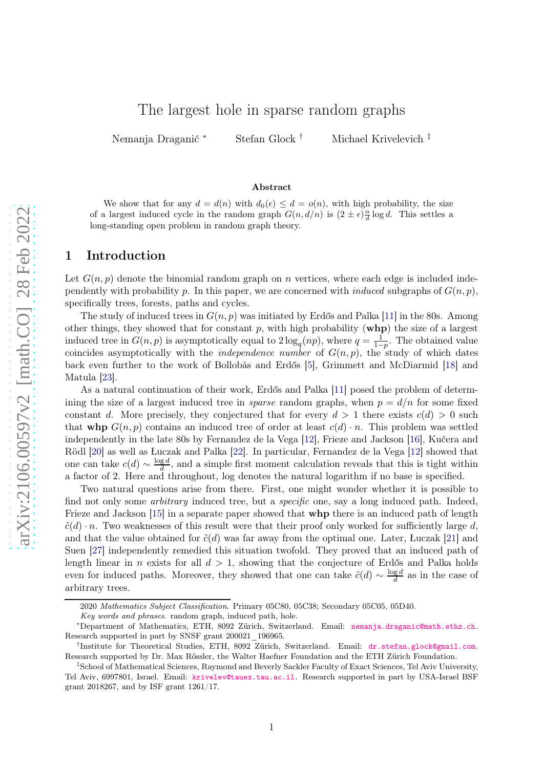# The largest hole in sparse random graphs

Nemanja Draganić <sup>∗</sup> Stefan Glock † Michael Krivelevich ‡

#### Abstract

We show that for any  $d = d(n)$  with  $d_0(\epsilon) \leq d = o(n)$ , with high probability, the size of a largest induced cycle in the random graph  $G(n, d/n)$  is  $(2 \pm \epsilon) \frac{n}{d} \log d$ . This settles a long-standing open problem in random graph theory.

#### 1 Introduction

Let  $G(n, p)$  denote the binomial random graph on n vertices, where each edge is included independently with probability p. In this paper, we are concerned with *induced* subgraphs of  $G(n, p)$ , specifically trees, forests, paths and cycles.

The study of induced trees in  $G(n, p)$  was initiated by Erdős and Palka [\[11\]](#page-10-0) in the 80s. Among other things, they showed that for constant  $p$ , with high probability  $(whp)$  the size of a largest induced tree in  $G(n, p)$  is asymptotically equal to  $2 \log_q(np)$ , where  $q = \frac{1}{1-p}$  $\frac{1}{1-p}$ . The obtained value coincides asymptotically with the *independence number* of  $G(n, p)$ , the study of which dates back even further to the work of Bollobás and Erdős [\[5\]](#page-9-0), Grimmett and McDiarmid [\[18\]](#page-10-1) and Matula [\[23\]](#page-10-2).

As a natural continuation of their work, Erdős and Palka [\[11\]](#page-10-0) posed the problem of determining the size of a largest induced tree in *sparse* random graphs, when  $p = d/n$  for some fixed constant d. More precisely, they conjectured that for every  $d > 1$  there exists  $c(d) > 0$  such that whp  $G(n, p)$  contains an induced tree of order at least  $c(d) \cdot n$ . This problem was settled independently in the late 80s by Fernandez de la Vega [\[12\]](#page-10-3), Frieze and Jackson [\[16\]](#page-10-4), Kučera and Rödl [\[20\]](#page-10-5) as well as Łuczak and Palka [\[22\]](#page-10-6). In particular, Fernandez de la Vega [\[12\]](#page-10-3) showed that one can take  $c(d) \sim \frac{\log d}{d}$  $\frac{ga}{d}$ , and a simple first moment calculation reveals that this is tight within a factor of 2. Here and throughout, log denotes the natural logarithm if no base is specified.

Two natural questions arise from there. First, one might wonder whether it is possible to find not only some *arbitrary* induced tree, but a *specific* one, say a long induced path. Indeed, Frieze and Jackson [\[15\]](#page-10-7) in a separate paper showed that **whp** there is an induced path of length  $\tilde{c}(d) \cdot n$ . Two weaknesses of this result were that their proof only worked for sufficiently large d, and that the value obtained for  $\tilde{c}(d)$  was far away from the optimal one. Later, Łuczak [\[21\]](#page-10-8) and Suen [\[27\]](#page-10-9) independently remedied this situation twofold. They proved that an induced path of length linear in n exists for all  $d > 1$ , showing that the conjecture of Erdős and Palka holds even for induced paths. Moreover, they showed that one can take  $\tilde{c}(d) \sim \frac{\log d}{d}$  $\frac{ga}{d}$  as in the case of arbitrary trees.

<sup>2020</sup> Mathematics Subject Classification. Primary 05C80, 05C38; Secondary 05C05, 05D40.

Key words and phrases. random graph, induced path, hole.

<sup>∗</sup>Department of Mathematics, ETH, 8092 Zürich, Switzerland. Email: [nemanja.draganic@math.ethz.ch](mailto:nemanja.draganic@math.ethz.ch). Research supported in part by SNSF grant 200021\_196965.

<sup>&</sup>lt;sup>†</sup>Institute for Theoretical Studies, ETH, 8092 Zürich, Switzerland. Email: [dr.stefan.glock@gmail.com](mailto:dr.stefan.glock@gmail.com). Research supported by Dr. Max Rössler, the Walter Haefner Foundation and the ETH Zürich Foundation.

<sup>‡</sup>School of Mathematical Sciences, Raymond and Beverly Sackler Faculty of Exact Sciences, Tel Aviv University, Tel Aviv, 6997801, Israel. Email: [krivelev@tauex.tau.ac.il](mailto:krivelev@tauex.tau.ac.il). Research supported in part by USA-Israel BSF grant 2018267, and by ISF grant 1261/17.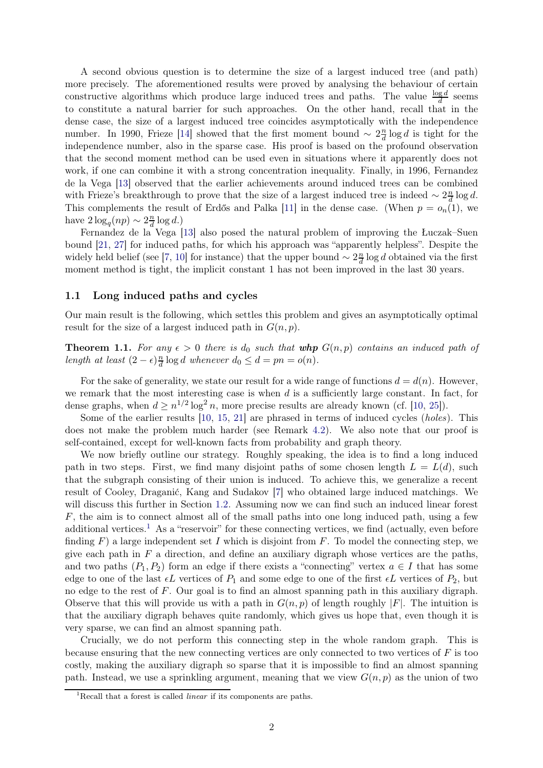A second obvious question is to determine the size of a largest induced tree (and path) more precisely. The aforementioned results were proved by analysing the behaviour of certain constructive algorithms which produce large induced trees and paths. The value  $\frac{\log d}{d}$  seems to constitute a natural barrier for such approaches. On the other hand, recall that in the dense case, the size of a largest induced tree coincides asymptotically with the independence number. In 1990, Frieze [\[14\]](#page-10-10) showed that the first moment bound  $\sim 2\frac{n}{d}$  $\frac{n}{d} \log d$  is tight for the independence number, also in the sparse case. His proof is based on the profound observation that the second moment method can be used even in situations where it apparently does not work, if one can combine it with a strong concentration inequality. Finally, in 1996, Fernandez de la Vega [\[13\]](#page-10-11) observed that the earlier achievements around induced trees can be combined with Frieze's breakthrough to prove that the size of a largest induced tree is indeed  $\sim 2\frac{n}{d}$  $\frac{n}{d} \log d$ . This complements the result of Erdős and Palka [\[11\]](#page-10-0) in the dense case. (When  $p = o_n(1)$ , we have  $2\log_q(np) \sim 2\frac{n}{d}$  $\frac{n}{d} \log d$ .)

Fernandez de la Vega [\[13\]](#page-10-11) also posed the natural problem of improving the Łuczak–Suen bound [\[21,](#page-10-8) [27\]](#page-10-9) for induced paths, for which his approach was "apparently helpless". Despite the widely held belief (see [\[7,](#page-10-12) [10\]](#page-10-13) for instance) that the upper bound  $\sim 2\frac{n}{d}$  $\frac{n}{d}$  log *d* obtained via the first moment method is tight, the implicit constant 1 has not been improved in the last 30 years.

#### <span id="page-1-2"></span>1.1 Long induced paths and cycles

Our main result is the following, which settles this problem and gives an asymptotically optimal result for the size of a largest induced path in  $G(n, p)$ .

<span id="page-1-1"></span>**Theorem 1.1.** For any  $\epsilon > 0$  there is  $d_0$  such that whp  $G(n, p)$  contains an induced path of *length at least*  $(2 - \epsilon) \frac{n}{d}$  $\frac{n}{d} \log d$  whenever  $d_0 \leq d = pn = o(n)$ .

For the sake of generality, we state our result for a wide range of functions  $d = d(n)$ . However, we remark that the most interesting case is when  $d$  is a sufficiently large constant. In fact, for dense graphs, when  $d \geq n^{1/2} \log^2 n$ , more precise results are already known (cf. [\[10,](#page-10-13) [25\]](#page-10-14)).

Some of the earlier results [\[10,](#page-10-13) [15,](#page-10-7) [21\]](#page-10-8) are phrased in terms of induced cycles (*holes*). This does not make the problem much harder (see Remark [4.2\)](#page-9-1). We also note that our proof is self-contained, except for well-known facts from probability and graph theory.

We now briefly outline our strategy. Roughly speaking, the idea is to find a long induced path in two steps. First, we find many disjoint paths of some chosen length  $L = L(d)$ , such that the subgraph consisting of their union is induced. To achieve this, we generalize a recent result of Cooley, Draganić, Kang and Sudakov [\[7\]](#page-10-12) who obtained large induced matchings. We will discuss this further in Section [1.2.](#page-2-0) Assuming now we can find such an induced linear forest  $F$ , the aim is to connect almost all of the small paths into one long induced path, using a few additional vertices.<sup>[1](#page-1-0)</sup> As a "reservoir" for these connecting vertices, we find (actually, even before finding  $F$ ) a large independent set I which is disjoint from F. To model the connecting step, we give each path in  $F$  a direction, and define an auxiliary digraph whose vertices are the paths, and two paths  $(P_1, P_2)$  form an edge if there exists a "connecting" vertex  $a \in I$  that has some edge to one of the last  $\epsilon L$  vertices of  $P_1$  and some edge to one of the first  $\epsilon L$  vertices of  $P_2$ , but no edge to the rest of F. Our goal is to find an almost spanning path in this auxiliary digraph. Observe that this will provide us with a path in  $G(n, p)$  of length roughly |F|. The intuition is that the auxiliary digraph behaves quite randomly, which gives us hope that, even though it is very sparse, we can find an almost spanning path.

Crucially, we do not perform this connecting step in the whole random graph. This is because ensuring that the new connecting vertices are only connected to two vertices of F is too costly, making the auxiliary digraph so sparse that it is impossible to find an almost spanning path. Instead, we use a sprinkling argument, meaning that we view  $G(n, p)$  as the union of two

<span id="page-1-0"></span><sup>&</sup>lt;sup>1</sup>Recall that a forest is called *linear* if its components are paths.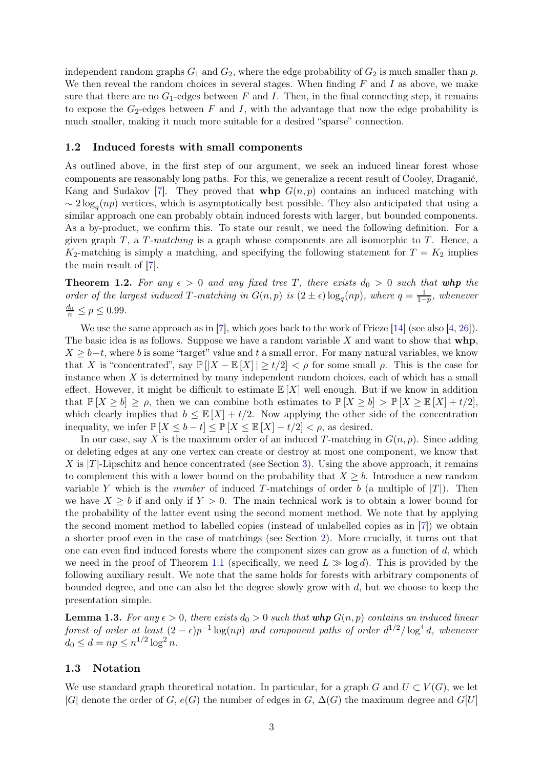independent random graphs  $G_1$  and  $G_2$ , where the edge probability of  $G_2$  is much smaller than p. We then reveal the random choices in several stages. When finding  $F$  and  $I$  as above, we make sure that there are no  $G_1$ -edges between F and I. Then, in the final connecting step, it remains to expose the  $G_2$ -edges between F and I, with the advantage that now the edge probability is much smaller, making it much more suitable for a desired "sparse" connection.

#### <span id="page-2-0"></span>1.2 Induced forests with small components

As outlined above, in the first step of our argument, we seek an induced linear forest whose components are reasonably long paths. For this, we generalize a recent result of Cooley, Draganić, Kang and Sudakov [\[7\]](#page-10-12). They proved that **whp**  $G(n, p)$  contains an induced matching with  $\sim 2 \log_q(np)$  vertices, which is asymptotically best possible. They also anticipated that using a similar approach one can probably obtain induced forests with larger, but bounded components. As a by-product, we confirm this. To state our result, we need the following definition. For a given graph T, a T*-matching* is a graph whose components are all isomorphic to T. Hence, a  $K_2$ -matching is simply a matching, and specifying the following statement for  $T = K_2$  implies the main result of [\[7\]](#page-10-12).

<span id="page-2-1"></span>**Theorem 1.2.** For any  $\epsilon > 0$  and any fixed tree T, there exists  $d_0 > 0$  such that whp the *order of the largest induced* T-matching in  $G(n, p)$  is  $(2 \pm \epsilon) \log_q(np)$ , where  $q = \frac{1}{1-p}$  $\frac{1}{1-p}$ *, whenever*  $\frac{d_0}{n} \le p \le 0.99.$ 

We use the same approach as in [\[7\]](#page-10-12), which goes back to the work of Frieze [\[14\]](#page-10-10) (see also [\[4,](#page-9-2) [26\]](#page-10-15)). The basic idea is as follows. Suppose we have a random variable  $X$  and want to show that  $whp$ ,  $X \geq b-t$ , where b is some "target" value and t a small error. For many natural variables, we know that X is "concentrated", say  $\mathbb{P}(|X - \mathbb{E}|X|) \ge t/2 < \rho$  for some small  $\rho$ . This is the case for instance when  $X$  is determined by many independent random choices, each of which has a small effect. However, it might be difficult to estimate  $\mathbb{E}[X]$  well enough. But if we know in addition that  $\mathbb{P}[X \geq b] \geq \rho$ , then we can combine both estimates to  $\mathbb{P}[X \geq b] > \mathbb{P}[X \geq \mathbb{E}[X] + t/2]$ , which clearly implies that  $b \leq \mathbb{E}[X] + t/2$ . Now applying the other side of the concentration inequality, we infer  $\mathbb{P}[X \leq b - t] \leq \mathbb{P}[X \leq \mathbb{E}[X] - t/2] < \rho$ , as desired.

In our case, say X is the maximum order of an induced T-matching in  $G(n, p)$ . Since adding or deleting edges at any one vertex can create or destroy at most one component, we know that X is  $|T|$ -Lipschitz and hence concentrated (see Section [3\)](#page-6-0). Using the above approach, it remains to complement this with a lower bound on the probability that  $X \geq b$ . Introduce a new random variable Y which is the *number* of induced T-matchings of order b (a multiple of  $|T|$ ). Then we have  $X > b$  if and only if  $Y > 0$ . The main technical work is to obtain a lower bound for the probability of the latter event using the second moment method. We note that by applying the second moment method to labelled copies (instead of unlabelled copies as in [\[7\]](#page-10-12)) we obtain a shorter proof even in the case of matchings (see Section [2\)](#page-3-0). More crucially, it turns out that one can even find induced forests where the component sizes can grow as a function of  $d$ , which we need in the proof of Theorem [1.1](#page-1-1) (specifically, we need  $L \gg \log d$ ). This is provided by the following auxiliary result. We note that the same holds for forests with arbitrary components of bounded degree, and one can also let the degree slowly grow with d, but we choose to keep the presentation simple.

<span id="page-2-2"></span>**Lemma 1.3.** For any  $\epsilon > 0$ , there exists  $d_0 > 0$  such that whp  $G(n, p)$  contains an induced linear *forest of order at least*  $(2 - \epsilon)p^{-1} \log(np)$  *and component paths of order*  $d^{1/2}/\log^4 d$ , whenever  $d_0 \leq d = np \leq n^{1/2} \log^2 n$ .

#### 1.3 Notation

We use standard graph theoretical notation. In particular, for a graph G and  $U \subset V(G)$ , we let |G| denote the order of G,  $e(G)$  the number of edges in G,  $\Delta(G)$  the maximum degree and  $G[U]$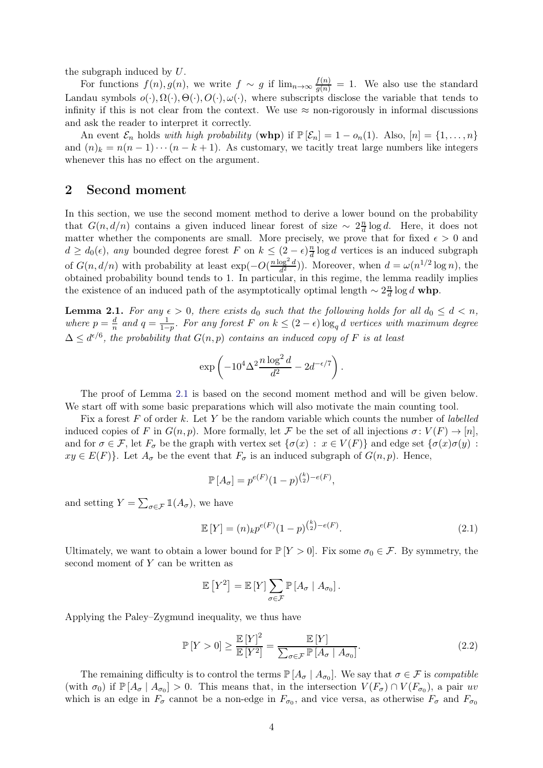the subgraph induced by U.

For functions  $f(n)$ ,  $g(n)$ , we write  $f \sim g$  if  $\lim_{n \to \infty} \frac{f(n)}{g(n)} = 1$ . We also use the standard Landau symbols  $o(\cdot), \Omega(\cdot), \Theta(\cdot), O(\cdot), \omega(\cdot)$ , where subscripts disclose the variable that tends to infinity if this is not clear from the context. We use  $\approx$  non-rigorously in informal discussions and ask the reader to interpret it correctly.

An event  $\mathcal{E}_n$  holds *with high probability* (whp) if  $\mathbb{P}[\mathcal{E}_n] = 1 - o_n(1)$ . Also,  $[n] = \{1, ..., n\}$ and  $(n)_k = n(n-1)\cdots(n-k+1)$ . As customary, we tacitly treat large numbers like integers whenever this has no effect on the argument.

### <span id="page-3-0"></span>2 Second moment

In this section, we use the second moment method to derive a lower bound on the probability that  $G(n, d/n)$  contains a given induced linear forest of size ~  $2\frac{n}{d}$  $\frac{n}{d} \log d$ . Here, it does not matter whether the components are small. More precisely, we prove that for fixed  $\epsilon > 0$  and  $d \geq d_0(\epsilon)$ , *any* bounded degree forest F on  $k \leq (2 - \epsilon) \frac{n}{d}$  $\frac{n}{d}$  log d vertices is an induced subgraph of  $G(n, d/n)$  with probability at least  $\exp(-O(\frac{n \log^2 d}{d^2}))$  $\frac{\log^2 d}{d^2}$ )). Moreover, when  $d = \omega(n^{1/2} \log n)$ , the obtained probability bound tends to 1. In particular, in this regime, the lemma readily implies the existence of an induced path of the asymptotically optimal length  $\sim 2\frac{n}{d}$  $\frac{n}{d} \log d$  whp.

<span id="page-3-1"></span>**Lemma 2.1.** For any  $\epsilon > 0$ , there exists  $d_0$  such that the following holds for all  $d_0 \leq d < n$ , *where*  $p = \frac{d}{n}$  $\frac{d}{n}$  and  $q = \frac{1}{1-}$  $\frac{1}{1-p}$ *. For any forest* F *on*  $k ≤ (2 - \epsilon) \log_q d$  *vertices with maximum degree*  $\Delta \leq d^{\epsilon/6}$ , the probability that  $G(n, p)$  contains an induced copy of F is at least

$$
\exp\left(-10^4\Delta^2\frac{n\log^2 d}{d^2} - 2d^{-\epsilon/7}\right).
$$

The proof of Lemma [2.1](#page-3-1) is based on the second moment method and will be given below. We start off with some basic preparations which will also motivate the main counting tool.

Fix a forest F of order k. Let Y be the random variable which counts the number of *labelled* induced copies of F in  $G(n, p)$ . More formally, let F be the set of all injections  $\sigma: V(F) \to [n]$ , and for  $\sigma \in \mathcal{F}$ , let  $F_{\sigma}$  be the graph with vertex set  $\{\sigma(x): x \in V(F)\}\$  and edge set  $\{\sigma(x)\sigma(y):$  $xy \in E(F)$ . Let  $A_{\sigma}$  be the event that  $F_{\sigma}$  is an induced subgraph of  $G(n, p)$ . Hence,

<span id="page-3-3"></span>
$$
\mathbb{P}[A_{\sigma}] = p^{e(F)}(1-p)^{{k \choose 2} - e(F)},
$$

and setting  $Y = \sum_{\sigma \in \mathcal{F}} \mathbb{1}(A_{\sigma}),$  we have

$$
\mathbb{E}\left[Y\right] = (n)_k p^{e(F)} (1-p)^{\binom{k}{2} - e(F)}.
$$
\n(2.1)

Ultimately, we want to obtain a lower bound for  $\mathbb{P}[Y > 0]$ . Fix some  $\sigma_0 \in \mathcal{F}$ . By symmetry, the second moment of  $Y$  can be written as

<span id="page-3-2"></span>
$$
\mathbb{E}\left[Y^2\right] = \mathbb{E}\left[Y\right] \sum_{\sigma \in \mathcal{F}} \mathbb{P}\left[A_{\sigma} \mid A_{\sigma_0}\right].
$$

Applying the Paley–Zygmund inequality, we thus have

$$
\mathbb{P}\left[Y > 0\right] \ge \frac{\mathbb{E}\left[Y\right]^2}{\mathbb{E}\left[Y^2\right]} = \frac{\mathbb{E}\left[Y\right]}{\sum_{\sigma \in \mathcal{F}} \mathbb{P}\left[A_{\sigma} \mid A_{\sigma_0}\right]}.\tag{2.2}
$$

The remaining difficulty is to control the terms  $\mathbb{P}[A_{\sigma} | A_{\sigma_0}]$ . We say that  $\sigma \in \mathcal{F}$  is *compatible* (with  $\sigma_0$ ) if  $\mathbb{P}[A_{\sigma} | A_{\sigma_0}] > 0$ . This means that, in the intersection  $V(F_{\sigma}) \cap V(F_{\sigma_0})$ , a pair uv which is an edge in  $F_{\sigma}$  cannot be a non-edge in  $F_{\sigma_0}$ , and vice versa, as otherwise  $F_{\sigma}$  and  $F_{\sigma_0}$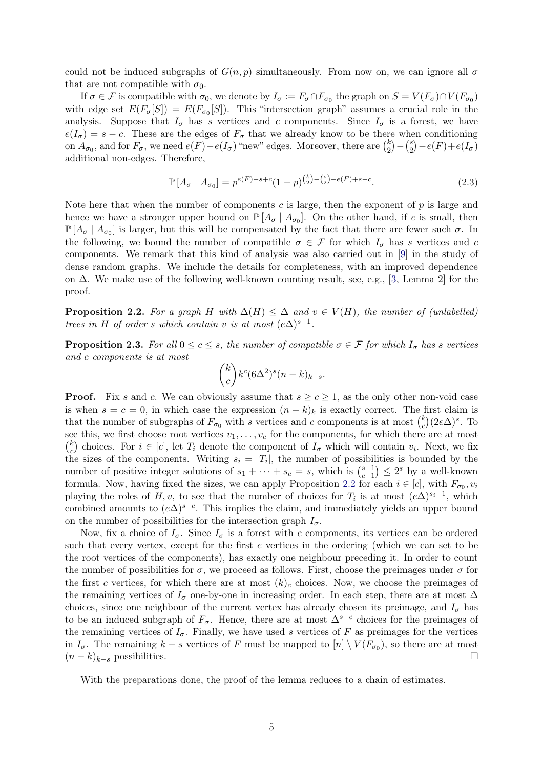could not be induced subgraphs of  $G(n, p)$  simultaneously. From now on, we can ignore all  $\sigma$ that are not compatible with  $\sigma_0$ .

If  $\sigma \in \mathcal{F}$  is compatible with  $\sigma_0$ , we denote by  $I_{\sigma} := F_{\sigma} \cap F_{\sigma_0}$  the graph on  $S = V(F_{\sigma}) \cap V(F_{\sigma_0})$ with edge set  $E(F_{\sigma}[S]) = E(F_{\sigma_0}[S])$ . This "intersection graph" assumes a crucial role in the analysis. Suppose that  $I_{\sigma}$  has s vertices and c components. Since  $I_{\sigma}$  is a forest, we have  $e(I_{\sigma}) = s - c$ . These are the edges of  $F_{\sigma}$  that we already know to be there when conditioning on  $A_{\sigma_0}$ , and for  $F_{\sigma}$ , we need  $e(F) - e(I_{\sigma})$  "new" edges. Moreover, there are  $\binom{k}{2}$  $\binom{k}{2} - \binom{s}{2}$  $e_2^s$ ) –  $e(F) + e(I_{\sigma})$ additional non-edges. Therefore,

<span id="page-4-1"></span>
$$
\mathbb{P}\left[A_{\sigma} \mid A_{\sigma_0}\right] = p^{e(F)-s+c} (1-p)^{\binom{k}{2}-\binom{s}{2}-e(F)+s-c}.\tag{2.3}
$$

Note here that when the number of components c is large, then the exponent of  $p$  is large and hence we have a stronger upper bound on  $\mathbb{P}[A_{\sigma} | A_{\sigma_0}]$ . On the other hand, if c is small, then  $\mathbb{P}[A_{\sigma} | A_{\sigma 0}]$  is larger, but this will be compensated by the fact that there are fewer such  $\sigma$ . In the following, we bound the number of compatible  $\sigma \in \mathcal{F}$  for which  $I_{\sigma}$  has s vertices and c components. We remark that this kind of analysis was also carried out in [\[9\]](#page-10-16) in the study of dense random graphs. We include the details for completeness, with an improved dependence on ∆. We make use of the following well-known counting result, see, e.g., [\[3,](#page-9-3) Lemma 2] for the proof.

<span id="page-4-0"></span>**Proposition 2.2.** For a graph H with  $\Delta(H) \leq \Delta$  and  $v \in V(H)$ , the number of (unlabelled) *trees in* H *of order s which contain* v *is at most*  $(e\Delta)^{s-1}$ *.* 

<span id="page-4-2"></span>**Proposition 2.3.** For all  $0 \leq c \leq s$ , the number of compatible  $\sigma \in \mathcal{F}$  for which  $I_{\sigma}$  has s vertices *and* c *components is at most*

$$
\binom{k}{c} k^c (6\Delta^2)^s (n-k)_{k-s}.
$$

**Proof.** Fix s and c. We can obviously assume that  $s \ge c \ge 1$ , as the only other non-void case is when  $s = c = 0$ , in which case the expression  $(n - k)_k$  is exactly correct. The first claim is that the number of subgraphs of  $F_{\sigma_0}$  with s vertices and c components is at most  $\binom{k}{c}$  $\binom{k}{c}(2e\Delta)^s$ . To see this, we first choose root vertices  $v_1, \ldots, v_c$  for the components, for which there are at most  $\binom{k}{c}$ <sup>k</sup><sub>c</sub>) choices. For  $i \in [c]$ , let  $T_i$  denote the component of  $I_{\sigma}$  which will contain  $v_i$ . Next, we fix the sizes of the components. Writing  $s_i = |T_i|$ , the number of possibilities is bounded by the number of positive integer solutions of  $s_1 + \cdots + s_c = s$ , which is  $\binom{s-1}{c-1}$  $\binom{s-1}{c-1} \leq 2^s$  by a well-known formula. Now, having fixed the sizes, we can apply Proposition [2.2](#page-4-0) for each  $i \in [c]$ , with  $F_{\sigma_0}, v_i$ playing the roles of  $H, v$ , to see that the number of choices for  $T_i$  is at most  $(e\Delta)^{s_i-1}$ , which combined amounts to  $(e\Delta)^{s-c}$ . This implies the claim, and immediately yields an upper bound on the number of possibilities for the intersection graph  $I_{\sigma}$ .

Now, fix a choice of  $I_{\sigma}$ . Since  $I_{\sigma}$  is a forest with c components, its vertices can be ordered such that every vertex, except for the first  $c$  vertices in the ordering (which we can set to be the root vertices of the components), has exactly one neighbour preceding it. In order to count the number of possibilities for  $\sigma$ , we proceed as follows. First, choose the preimages under  $\sigma$  for the first c vertices, for which there are at most  $(k)<sub>c</sub>$  choices. Now, we choose the preimages of the remaining vertices of  $I_{\sigma}$  one-by-one in increasing order. In each step, there are at most  $\Delta$ choices, since one neighbour of the current vertex has already chosen its preimage, and  $I_{\sigma}$  has to be an induced subgraph of  $F_{\sigma}$ . Hence, there are at most  $\Delta^{s-c}$  choices for the preimages of the remaining vertices of  $I_{\sigma}$ . Finally, we have used s vertices of F as preimages for the vertices in  $I_{\sigma}$ . The remaining  $k - s$  vertices of F must be mapped to  $[n] \setminus V(F_{\sigma_0})$ , so there are at most  $(n-k)_{k-s}$  possibilities.

With the preparations done, the proof of the lemma reduces to a chain of estimates.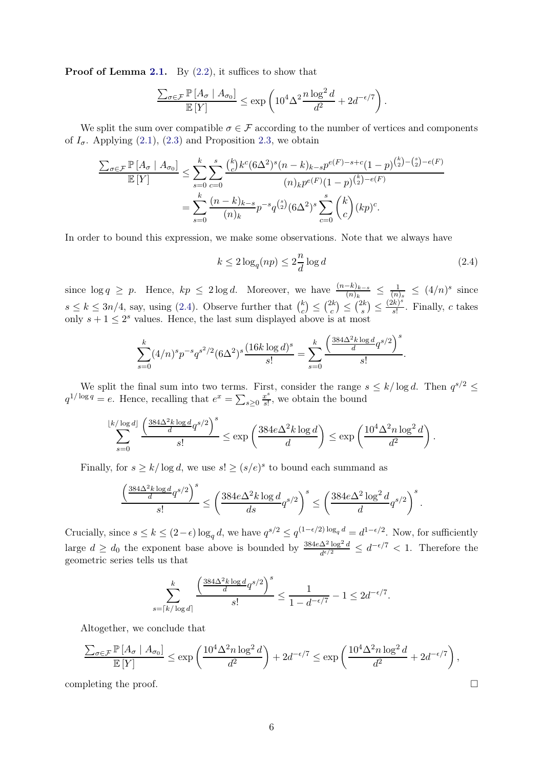**Proof of Lemma [2.1.](#page-3-1)** By  $(2.2)$ , it suffices to show that

$$
\frac{\sum_{\sigma \in \mathcal{F}} \mathbb{P}\left[A_{\sigma} \mid A_{\sigma_0}\right]}{\mathbb{E}\left[Y\right]} \le \exp\left(10^4 \Delta^2 \frac{n \log^2 d}{d^2} + 2d^{-\epsilon/7}\right).
$$

We split the sum over compatible  $\sigma \in \mathcal{F}$  according to the number of vertices and components of  $I_{\sigma}$ . Applying [\(2.1\)](#page-3-3), [\(2.3\)](#page-4-1) and Proposition [2.3,](#page-4-2) we obtain

$$
\frac{\sum_{\sigma \in \mathcal{F}} \mathbb{P}\left[A_{\sigma} \mid A_{\sigma_0}\right]}{\mathbb{E}\left[Y\right]} \leq \sum_{s=0}^{k} \sum_{c=0}^{s} \frac{\binom{k}{c} k^c (6\Delta^2)^s (n-k)_{k-s} p^{e(F)-s+c} (1-p)^{\binom{k}{2}-\binom{s}{2}-e(F)}}{(n)_{k} p^{e(F)} (1-p)^{\binom{k}{2}-e(F)}} = \sum_{s=0}^{k} \frac{(n-k)_{k-s}}{(n)_{k}} p^{-s} q^{\binom{s}{2}} (6\Delta^2)^s \sum_{c=0}^{s} \binom{k}{c} (kp)^c.
$$

In order to bound this expression, we make some observations. Note that we always have

<span id="page-5-0"></span>
$$
k \le 2\log_q(np) \le 2\frac{n}{d}\log d\tag{2.4}
$$

since  $\log q \ge p$ . Hence,  $kp \le 2 \log d$ . Moreover, we have  $\frac{(n-k)_{k-s}}{(n)_k} \le \frac{1}{(n)}$  $\frac{1}{(n)_s} \leq (4/n)^s$  since  $s \leq k \leq 3n/4$ , say, using [\(2.4\)](#page-5-0). Observe further that  $\binom{k}{c}$  $\binom{k}{c} \leq \binom{2k}{c}$  $\binom{2k}{c} \leq \binom{2k}{s}$  $\binom{2k}{s} \leq \frac{(2k)^s}{s!}$  $\frac{k}{s!}$ . Finally, c takes only  $s + 1 \leq 2^s$  values. Hence, the last sum displayed above is at most

$$
\sum_{s=0}^{k} (4/n)^s p^{-s} q^{s^2/2} (6\Delta^2)^s \frac{(16k \log d)^s}{s!} = \sum_{s=0}^{k} \frac{\left(\frac{384\Delta^2 k \log d}{d} q^{s/2}\right)^s}{s!}.
$$

We split the final sum into two terms. First, consider the range  $s \leq k/\log d$ . Then  $q^{s/2} \leq$  $q^{1/\log q} = e$ . Hence, recalling that  $e^x = \sum_{s \geq 0} \frac{x^s}{s!}$  $\frac{x^s}{s!}$ , we obtain the bound

$$
\sum_{s=0}^{\lfloor k/\log d\rfloor } \frac{\left( \frac{384 \Delta^2 k \log d}{d} q^{s/2} \right)^s}{s!} \leq \exp\left( \frac{384 e \Delta^2 k \log d}{d} \right) \leq \exp\left( \frac{10^4 \Delta^2 n \log^2 d}{d^2} \right).
$$

Finally, for  $s \ge k/\log d$ , we use  $s! \ge (s/e)^s$  to bound each summand as

$$
\frac{\left(\frac{384 \Delta^2 k \log d}{d} q^{s/2}\right)^s}{s!}\leq \left(\frac{384 e \Delta^2 k \log d}{ds} q^{s/2}\right)^s\leq \left(\frac{384 e \Delta^2 \log^2 d}{d} q^{s/2}\right)^s.
$$

Crucially, since  $s \leq k \leq (2 - \epsilon) \log_q d$ , we have  $q^{s/2} \leq q^{(1 - \epsilon/2) \log_q d} = d^{1 - \epsilon/2}$ . Now, for sufficiently large  $d \geq d_0$  the exponent base above is bounded by  $\frac{384e\Delta^2\log^2 d}{d^{\epsilon/2}}$  $\frac{\Delta^2 \log^2 d}{d^{\epsilon/2}} \leq d^{-\epsilon/7} < 1$ . Therefore the geometric series tells us that

$$
\sum_{s=\lceil k/\log d\rceil}^k \frac{\left(\frac{384\Delta^2 k \log d}{d} q^{s/2}\right)^s}{s!} \le \frac{1}{1-d^{-\epsilon/7}} - 1 \le 2d^{-\epsilon/7}.
$$

Altogether, we conclude that

$$
\frac{\sum_{\sigma \in \mathcal{F}} \mathbb{P}\left[A_{\sigma} \mid A_{\sigma_0}\right]}{\mathbb{E}\left[Y\right]} \le \exp\left(\frac{10^4 \Delta^2 n \log^2 d}{d^2}\right) + 2d^{-\epsilon/7} \le \exp\left(\frac{10^4 \Delta^2 n \log^2 d}{d^2} + 2d^{-\epsilon/7}\right),
$$

completing the proof.  $\Box$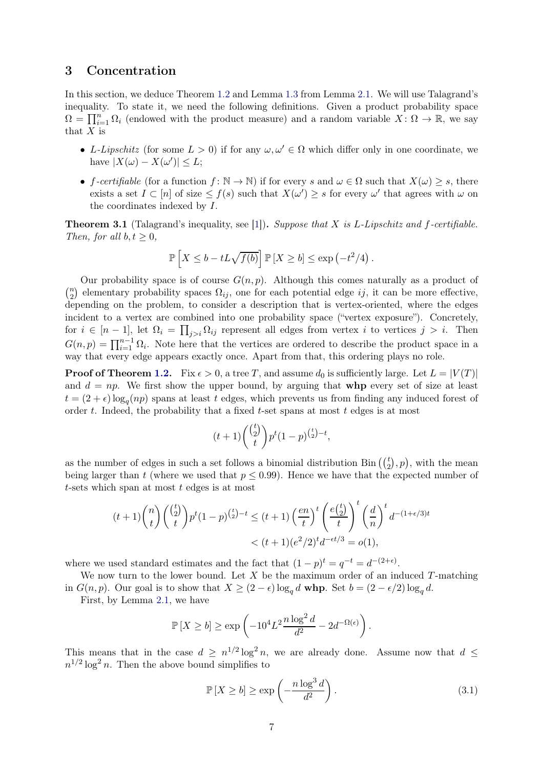### <span id="page-6-0"></span>3 Concentration

In this section, we deduce Theorem [1.2](#page-2-1) and Lemma [1.3](#page-2-2) from Lemma [2.1.](#page-3-1) We will use Talagrand's inequality. To state it, we need the following definitions. Given a product probability space  $\Omega = \prod_{i=1}^n \Omega_i$  (endowed with the product measure) and a random variable  $X: \Omega \to \mathbb{R}$ , we say that  $X$  is

- L-Lipschitz (for some  $L > 0$ ) if for any  $\omega, \omega' \in \Omega$  which differ only in one coordinate, we have  $|X(\omega) - X(\omega')| \leq L$ ;
- f-certifiable (for a function  $f: \mathbb{N} \to \mathbb{N}$ ) if for every s and  $\omega \in \Omega$  such that  $X(\omega) \geq s$ , there exists a set  $I \subset [n]$  of size  $\leq f(s)$  such that  $X(\omega') \geq s$  for every  $\omega'$  that agrees with  $\omega$  on the coordinates indexed by I.

Theorem 3.1 (Talagrand's inequality, see [\[1\]](#page-9-4)). *Suppose that* X *is* L*-Lipschitz and* f*-certifiable. Then, for all*  $b, t \geq 0$ *,* 

$$
\mathbb{P}\left[X \leq b - tL\sqrt{f(b)}\right] \mathbb{P}\left[X \geq b\right] \leq \exp\left(-t^2/4\right).
$$

Our probability space is of course  $G(n, p)$ . Although this comes naturally as a product of  $\binom{n}{2}$  $n_2$ ) elementary probability spaces  $\Omega_{ij}$ , one for each potential edge ij, it can be more effective, depending on the problem, to consider a description that is vertex-oriented, where the edges incident to a vertex are combined into one probability space ("vertex exposure"). Concretely, for  $i \in [n-1]$ , let  $\Omega_i = \prod_{j>i} \Omega_{ij}$  represent all edges from vertex i to vertices  $j > i$ . Then  $G(n,p) = \prod_{i=1}^{n-1} \Omega_i$ . Note here that the vertices are ordered to describe the product space in a way that every edge appears exactly once. Apart from that, this ordering plays no role.

**Proof of Theorem [1.2.](#page-2-1)** Fix  $\epsilon > 0$ , a tree T, and assume  $d_0$  is sufficiently large. Let  $L = |V(T)|$ and  $d = np$ . We first show the upper bound, by arguing that **whp** every set of size at least  $t = (2 + \epsilon) \log_q(np)$  spans at least t edges, which prevents us from finding any induced forest of order  $t$ . Indeed, the probability that a fixed  $t$ -set spans at most  $t$  edges is at most

$$
(t+1)\binom{\binom{t}{2}}{t}p^{t}(1-p)^{\binom{t}{2}-t},
$$

as the number of edges in such a set follows a binomial distribution Bin  $(\binom{t}{2}, p)$ , with the mean being larger than t (where we used that  $p \leq 0.99$ ). Hence we have that the expected number of  $t$ -sets which span at most  $t$  edges is at most

$$
(t+1)\binom{n}{t}\binom{\binom{t}{2}}{t}p^t(1-p)^{\binom{t}{2}-t} \le (t+1)\left(\frac{en}{t}\right)^t \left(\frac{e\binom{t}{2}}{t}\right)^t \left(\frac{d}{n}\right)^t d^{-(1+\epsilon/3)t}
$$

$$
< (t+1)(e^2/2)^t d^{-\epsilon t/3} = o(1),
$$

where we used standard estimates and the fact that  $(1-p)^t = q^{-t} = d^{-(2+\epsilon)}$ .

We now turn to the lower bound. Let  $X$  be the maximum order of an induced  $T$ -matching in  $G(n, p)$ . Our goal is to show that  $X \ge (2 - \epsilon) \log_q d$  whp. Set  $b = (2 - \epsilon/2) \log_q d$ .

First, by Lemma [2.1,](#page-3-1) we have

$$
\mathbb{P}\left[X \ge b\right] \ge \exp\left(-10^4 L^2 \frac{n \log^2 d}{d^2} - 2d^{-\Omega(\epsilon)}\right).
$$

This means that in the case  $d \geq n^{1/2} \log^2 n$ , we are already done. Assume now that  $d \leq$  $n^{1/2} \log^2 n$ . Then the above bound simplifies to

<span id="page-6-1"></span>
$$
\mathbb{P}\left[X \ge b\right] \ge \exp\left(-\frac{n\log^3 d}{d^2}\right). \tag{3.1}
$$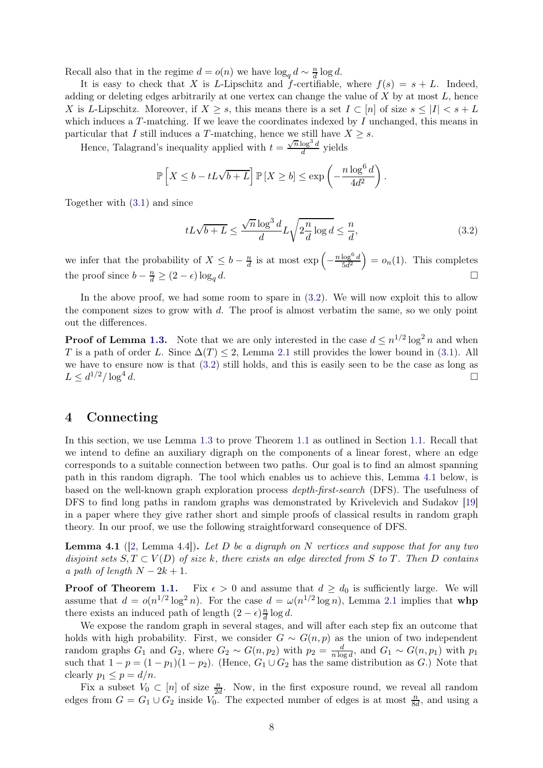Recall also that in the regime  $d = o(n)$  we have  $\log_q d \sim \frac{n}{d} \log d$ .

It is easy to check that X is L-Lipschitz and f-certifiable, where  $f(s) = s + L$ . Indeed, adding or deleting edges arbitrarily at one vertex can change the value of  $X$  by at most  $L$ , hence X is L-Lipschitz. Moreover, if  $X \geq s$ , this means there is a set  $I \subset [n]$  of size  $s \leq |I| < s + L$ which induces a  $T$ -matching. If we leave the coordinates indexed by  $I$  unchanged, this means in particular that I still induces a T-matching, hence we still have  $X \geq s$ .

Hence, Talagrand's inequality applied with  $t = \frac{\sqrt{n} \log^3 d}{d}$  $rac{\log^2 a}{d}$  yields

$$
\mathbb{P}\left[X \leq b - tL\sqrt{b+L}\right] \mathbb{P}\left[X \geq b\right] \leq \exp\left(-\frac{n\log^6 d}{4d^2}\right).
$$

Together with [\(3.1\)](#page-6-1) and since

<span id="page-7-0"></span>
$$
tL\sqrt{b+L} \le \frac{\sqrt{n}\log^3 d}{d}L\sqrt{2\frac{n}{d}\log d} \le \frac{n}{d},\tag{3.2}
$$

we infer that the probability of  $X \leq b - \frac{n}{d}$  $\frac{n}{d}$  is at most  $\exp\left(-\frac{1}{2}\right)$  $n \log^6 d$  $\frac{\log^6 d}{5d^2}$  =  $o_n(1)$ . This completes the proof since  $b - \frac{n}{d} \ge (2 - \epsilon) \log_q d$ .

In the above proof, we had some room to spare in  $(3.2)$ . We will now exploit this to allow the component sizes to grow with  $d$ . The proof is almost verbatim the same, so we only point out the differences.

**Proof of Lemma [1.3.](#page-2-2)** Note that we are only interested in the case  $d \leq n^{1/2} \log^2 n$  and when T is a path of order L. Since  $\Delta(T) \leq 2$ , Lemma [2.1](#page-3-1) still provides the lower bound in [\(3.1\)](#page-6-1). All we have to ensure now is that [\(3.2\)](#page-7-0) still holds, and this is easily seen to be the case as long as  $L \leq d^{1/2} / \log^4$ d.

### 4 Connecting

In this section, we use Lemma [1.3](#page-2-2) to prove Theorem [1.1](#page-1-1) as outlined in Section [1.1.](#page-1-2) Recall that we intend to define an auxiliary digraph on the components of a linear forest, where an edge corresponds to a suitable connection between two paths. Our goal is to find an almost spanning path in this random digraph. The tool which enables us to achieve this, Lemma [4.1](#page-7-1) below, is based on the well-known graph exploration process *depth-first-search* (DFS). The usefulness of DFS to find long paths in random graphs was demonstrated by Krivelevich and Sudakov [\[19\]](#page-10-17) in a paper where they give rather short and simple proofs of classical results in random graph theory. In our proof, we use the following straightforward consequence of DFS.

<span id="page-7-1"></span>Lemma 4.1 ([\[2,](#page-9-5) Lemma 4.4]). *Let* D *be a digraph on* N *vertices and suppose that for any two disjoint sets*  $S, T \subset V(D)$  *of size* k*, there exists an edge directed from* S to T. Then D *contains a path of length*  $N - 2k + 1$ .

**Proof of Theorem [1.1.](#page-1-1)** Fix  $\epsilon > 0$  and assume that  $d \geq d_0$  is sufficiently large. We will assume that  $d = o(n^{1/2} \log^2 n)$ . For the case  $d = \omega(n^{1/2} \log n)$ , Lemma [2.1](#page-3-1) implies that whp there exists an induced path of length  $(2 - \epsilon) \frac{n}{d}$  $\frac{n}{d} \log d$ .

We expose the random graph in several stages, and will after each step fix an outcome that holds with high probability. First, we consider  $G \sim G(n, p)$  as the union of two independent random graphs  $G_1$  and  $G_2$ , where  $G_2 \sim G(n, p_2)$  with  $p_2 = \frac{d}{n \log n}$  $\frac{d}{n \log d}$ , and  $G_1 \sim G(n, p_1)$  with  $p_1$ such that  $1 - p = (1 - p_1)(1 - p_2)$ . (Hence,  $G_1 \cup G_2$  has the same distribution as  $G$ .) Note that clearly  $p_1 \leq p = d/n$ .

Fix a subset  $V_0 \subset [n]$  of size  $\frac{n}{2d}$ . Now, in the first exposure round, we reveal all random edges from  $G = G_1 \cup G_2$  inside  $V_0$ . The expected number of edges is at most  $\frac{n}{8d}$ , and using a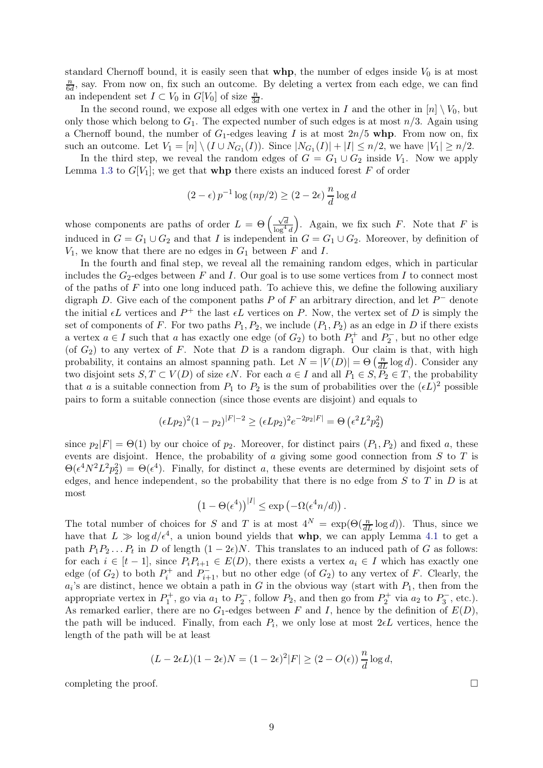standard Chernoff bound, it is easily seen that  $whp$ , the number of edges inside  $V_0$  is at most n  $\frac{n}{6d}$ , say. From now on, fix such an outcome. By deleting a vertex from each edge, we can find an independent set  $I \subset V_0$  in  $G[V_0]$  of size  $\frac{n}{3d}$ .

In the second round, we expose all edges with one vertex in I and the other in  $[n] \setminus V_0$ , but only those which belong to  $G_1$ . The expected number of such edges is at most  $n/3$ . Again using a Chernoff bound, the number of  $G_1$ -edges leaving I is at most  $2n/5$  whp. From now on, fix such an outcome. Let  $V_1 = [n] \setminus (I \cup N_{G_1}(I))$ . Since  $|N_{G_1}(I)| + |I| \leq n/2$ , we have  $|V_1| \geq n/2$ .

In the third step, we reveal the random edges of  $G = G_1 \cup G_2$  inside  $V_1$ . Now we apply Lemma [1.3](#page-2-2) to  $G[V_1]$ ; we get that **whp** there exists an induced forest F of order

$$
(2 - \epsilon) p^{-1} \log (np/2) \ge (2 - 2\epsilon) \frac{n}{d} \log d
$$

whose components are paths of order  $L = \Theta \left( \frac{\sqrt{d}}{\log^4 d} \right)$ ). Again, we fix such  $F$ . Note that  $F$  is induced in  $G = G_1 \cup G_2$  and that I is independent in  $G = G_1 \cup G_2$ . Moreover, by definition of  $V_1$ , we know that there are no edges in  $G_1$  between F and I.

In the fourth and final step, we reveal all the remaining random edges, which in particular includes the  $G_2$ -edges between F and I. Our goal is to use some vertices from I to connect most of the paths of  $F$  into one long induced path. To achieve this, we define the following auxiliary digraph D. Give each of the component paths P of F an arbitrary direction, and let  $P^-$  denote the initial  $\epsilon L$  vertices and  $P^+$  the last  $\epsilon L$  vertices on P. Now, the vertex set of D is simply the set of components of F. For two paths  $P_1, P_2$ , we include  $(P_1, P_2)$  as an edge in D if there exists a vertex  $a \in I$  such that a has exactly one edge (of  $G_2$ ) to both  $P_1^+$  and  $P_2^-$ , but no other edge (of  $G_2$ ) to any vertex of F. Note that D is a random digraph. Our claim is that, with high probability, it contains an almost spanning path. Let  $N = |V(D)| = \Theta\left(\frac{n}{dL}\log d\right)$ . Consider any two disjoint sets  $S, T \subset V(D)$  of size  $\epsilon N$ . For each  $a \in I$  and all  $P_1 \in S, P_2 \in T$ , the probability that a is a suitable connection from  $P_1$  to  $P_2$  is the sum of probabilities over the  $(\epsilon L)^2$  possible pairs to form a suitable connection (since those events are disjoint) and equals to

$$
(\epsilon L p_2)^2 (1 - p_2)^{|F| - 2} \ge (\epsilon L p_2)^2 e^{-2p_2 |F|} = \Theta \left( \epsilon^2 L^2 p_2^2 \right)
$$

since  $p_2|F| = \Theta(1)$  by our choice of  $p_2$ . Moreover, for distinct pairs  $(P_1, P_2)$  and fixed a, these events are disjoint. Hence, the probability of  $a$  giving some good connection from  $S$  to  $T$  is  $\Theta(\epsilon^4 N^2 L^2 p_2^2) = \Theta(\epsilon^4)$ . Finally, for distinct a, these events are determined by disjoint sets of edges, and hence independent, so the probability that there is no edge from  $S$  to  $T$  in  $D$  is at most

$$
(1 - \Theta(\epsilon^4))^{|I|} \le \exp(-\Omega(\epsilon^4 n/d)).
$$

The total number of choices for S and T is at most  $4^N = \exp(\Theta(\frac{n}{dL} \log d))$ . Thus, since we have that  $L \gg \log d/\epsilon^4$ , a union bound yields that **whp**, we can apply Lemma [4.1](#page-7-1) to get a path  $P_1P_2...P_t$  in D of length  $(1-2\epsilon)N$ . This translates to an induced path of G as follows: for each  $i \in [t-1]$ , since  $P_i P_{i+1} \in E(D)$ , there exists a vertex  $a_i \in I$  which has exactly one edge (of  $G_2$ ) to both  $P_i^+$  and  $P_{i+1}^-$ , but no other edge (of  $G_2$ ) to any vertex of F. Clearly, the  $a_i$ 's are distinct, hence we obtain a path in G in the obvious way (start with  $P_1$ , then from the appropriate vertex in  $P_1^+$ , go via  $a_1$  to  $P_2^-$ , follow  $P_2$ , and then go from  $P_2^+$  via  $a_2$  to  $P_3^-$ , etc.). As remarked earlier, there are no  $G_1$ -edges between F and I, hence by the definition of  $E(D)$ , the path will be induced. Finally, from each  $P_i$ , we only lose at most  $2\not\in L$  vertices, hence the length of the path will be at least

$$
(L - 2\epsilon L)(1 - 2\epsilon)N = (1 - 2\epsilon)^2 |F| \ge (2 - O(\epsilon)) \frac{n}{d} \log d,
$$

completing the proof.  $\Box$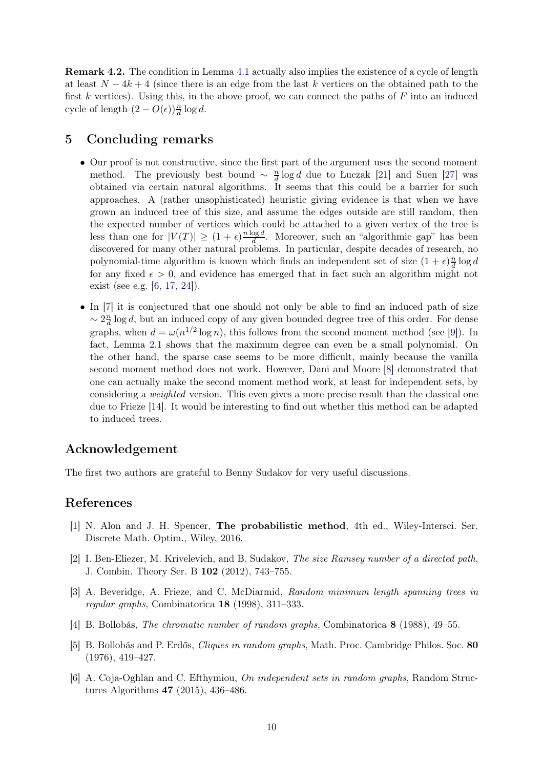<span id="page-9-1"></span>Remark 4.2. The condition in Lemma [4.1](#page-7-1) actually also implies the existence of a cycle of length at least  $N-4k+4$  (since there is an edge from the last k vertices on the obtained path to the first k vertices). Using this, in the above proof, we can connect the paths of  $F$  into an induced cycle of length  $(2 - O(\epsilon))\frac{n}{d} \log d$ .

# 5 Concluding remarks

- Our proof is not constructive, since the first part of the argument uses the second moment method. The previously best bound  $\sim \frac{n}{d}$  $\frac{n}{d}$  log d due to Łuczak [\[21\]](#page-10-8) and Suen [\[27\]](#page-10-9) was obtained via certain natural algorithms. It seems that this could be a barrier for such approaches. A (rather unsophisticated) heuristic giving evidence is that when we have grown an induced tree of this size, and assume the edges outside are still random, then the expected number of vertices which could be attached to a given vertex of the tree is less than one for  $|V(T)| \geq (1 + \epsilon)^{\frac{n \log d}{d}}$  $\frac{\log a}{d}$ . Moreover, such an "algorithmic gap" has been discovered for many other natural problems. In particular, despite decades of research, no polynomial-time algorithm is known which finds an independent set of size  $(1 + \epsilon) \frac{n}{d}$  $\frac{n}{d} \log d$ for any fixed  $\epsilon > 0$ , and evidence has emerged that in fact such an algorithm might not exist (see e.g. [\[6,](#page-9-6) [17,](#page-10-18) [24\]](#page-10-19)).
- In [\[7\]](#page-10-12) it is conjectured that one should not only be able to find an induced path of size  $\sim 2\frac{n}{d}$  $\frac{n}{d}$  log d, but an induced copy of any given bounded degree tree of this order. For dense graphs, when  $d = \omega(n^{1/2} \log n)$ , this follows from the second moment method (see [\[9\]](#page-10-16)). In fact, Lemma [2.1](#page-3-1) shows that the maximum degree can even be a small polynomial. On the other hand, the sparse case seems to be more difficult, mainly because the vanilla second moment method does not work. However, Dani and Moore [\[8\]](#page-10-20) demonstrated that one can actually make the second moment method work, at least for independent sets, by considering a *weighted* version. This even gives a more precise result than the classical one due to Frieze [\[14\]](#page-10-10). It would be interesting to find out whether this method can be adapted to induced trees.

# Acknowledgement

The first two authors are grateful to Benny Sudakov for very useful discussions.

### <span id="page-9-4"></span>References

- [1] N. Alon and J. H. Spencer, The probabilistic method, 4th ed., Wiley-Intersci. Ser. Discrete Math. Optim., Wiley, 2016.
- <span id="page-9-5"></span>[2] I. Ben-Eliezer, M. Krivelevich, and B. Sudakov, *The size Ramsey number of a directed path*, J. Combin. Theory Ser. B 102 (2012), 743–755.
- <span id="page-9-3"></span>[3] A. Beveridge, A. Frieze, and C. McDiarmid, *Random minimum length spanning trees in regular graphs*, Combinatorica 18 (1998), 311–333.
- <span id="page-9-2"></span><span id="page-9-0"></span>[4] B. Bollobás, *The chromatic number of random graphs*, Combinatorica 8 (1988), 49–55.
- [5] B. Bollobás and P. Erdős, *Cliques in random graphs*, Math. Proc. Cambridge Philos. Soc. 80 (1976), 419–427.
- <span id="page-9-6"></span>[6] A. Coja-Oghlan and C. Efthymiou, *On independent sets in random graphs*, Random Structures Algorithms 47 (2015), 436–486.